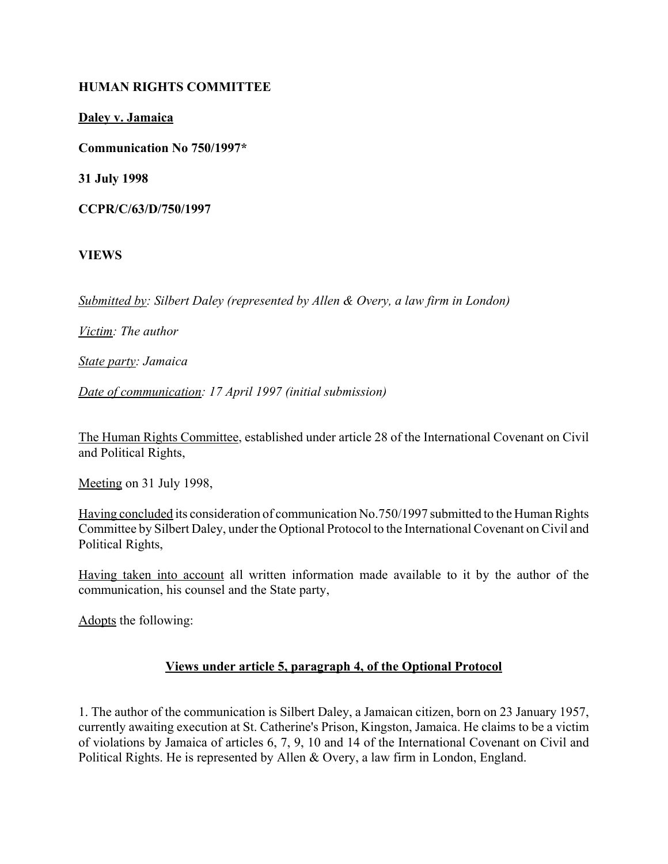### **HUMAN RIGHTS COMMITTEE**

**Daley v. Jamaica**

**Communication No 750/1997\***

**31 July 1998**

**CCPR/C/63/D/750/1997**

**VIEWS**

*Submitted by: Silbert Daley (represented by Allen & Overy, a law firm in London)* 

*Victim: The author* 

*State party: Jamaica* 

*Date of communication: 17 April 1997 (initial submission)*

The Human Rights Committee, established under article 28 of the International Covenant on Civil and Political Rights,

Meeting on 31 July 1998,

Having concluded its consideration of communication No.750/1997 submitted to the Human Rights Committee by Silbert Daley, under the Optional Protocol to the International Covenant on Civil and Political Rights,

Having taken into account all written information made available to it by the author of the communication, his counsel and the State party,

Adopts the following:

# **Views under article 5, paragraph 4, of the Optional Protocol**

1. The author of the communication is Silbert Daley, a Jamaican citizen, born on 23 January 1957, currently awaiting execution at St. Catherine's Prison, Kingston, Jamaica. He claims to be a victim of violations by Jamaica of articles 6, 7, 9, 10 and 14 of the International Covenant on Civil and Political Rights. He is represented by Allen & Overy, a law firm in London, England.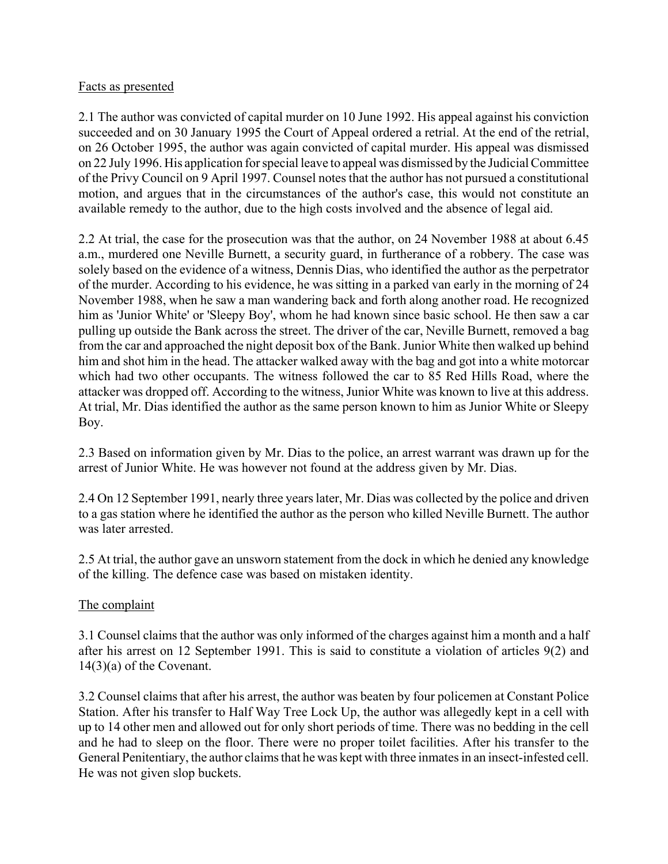### Facts as presented

2.1 The author was convicted of capital murder on 10 June 1992. His appeal against his conviction succeeded and on 30 January 1995 the Court of Appeal ordered a retrial. At the end of the retrial, on 26 October 1995, the author was again convicted of capital murder. His appeal was dismissed on 22 July 1996. His application for special leave to appeal was dismissed by the Judicial Committee of the Privy Council on 9 April 1997. Counsel notes that the author has not pursued a constitutional motion, and argues that in the circumstances of the author's case, this would not constitute an available remedy to the author, due to the high costs involved and the absence of legal aid.

2.2 At trial, the case for the prosecution was that the author, on 24 November 1988 at about 6.45 a.m., murdered one Neville Burnett, a security guard, in furtherance of a robbery. The case was solely based on the evidence of a witness, Dennis Dias, who identified the author as the perpetrator of the murder. According to his evidence, he was sitting in a parked van early in the morning of 24 November 1988, when he saw a man wandering back and forth along another road. He recognized him as 'Junior White' or 'Sleepy Boy', whom he had known since basic school. He then saw a car pulling up outside the Bank across the street. The driver of the car, Neville Burnett, removed a bag from the car and approached the night deposit box of the Bank. Junior White then walked up behind him and shot him in the head. The attacker walked away with the bag and got into a white motorcar which had two other occupants. The witness followed the car to 85 Red Hills Road, where the attacker was dropped off. According to the witness, Junior White was known to live at this address. At trial, Mr. Dias identified the author as the same person known to him as Junior White or Sleepy Boy.

2.3 Based on information given by Mr. Dias to the police, an arrest warrant was drawn up for the arrest of Junior White. He was however not found at the address given by Mr. Dias.

2.4 On 12 September 1991, nearly three years later, Mr. Dias was collected by the police and driven to a gas station where he identified the author as the person who killed Neville Burnett. The author was later arrested.

2.5 At trial, the author gave an unsworn statement from the dock in which he denied any knowledge of the killing. The defence case was based on mistaken identity.

# The complaint

3.1 Counsel claims that the author was only informed of the charges against him a month and a half after his arrest on 12 September 1991. This is said to constitute a violation of articles 9(2) and 14(3)(a) of the Covenant.

3.2 Counsel claims that after his arrest, the author was beaten by four policemen at Constant Police Station. After his transfer to Half Way Tree Lock Up, the author was allegedly kept in a cell with up to 14 other men and allowed out for only short periods of time. There was no bedding in the cell and he had to sleep on the floor. There were no proper toilet facilities. After his transfer to the General Penitentiary, the author claims that he was kept with three inmates in an insect-infested cell. He was not given slop buckets.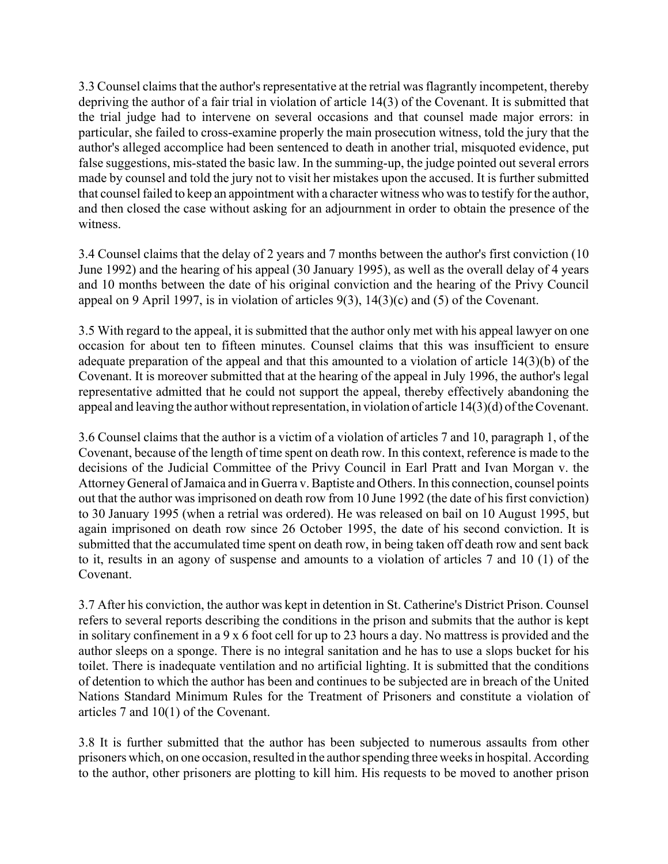3.3 Counsel claims that the author's representative at the retrial was flagrantly incompetent, thereby depriving the author of a fair trial in violation of article 14(3) of the Covenant. It is submitted that the trial judge had to intervene on several occasions and that counsel made major errors: in particular, she failed to cross-examine properly the main prosecution witness, told the jury that the author's alleged accomplice had been sentenced to death in another trial, misquoted evidence, put false suggestions, mis-stated the basic law. In the summing-up, the judge pointed out several errors made by counsel and told the jury not to visit her mistakes upon the accused. It is further submitted that counsel failed to keep an appointment with a character witness who was to testify for the author, and then closed the case without asking for an adjournment in order to obtain the presence of the witness.

3.4 Counsel claims that the delay of 2 years and 7 months between the author's first conviction (10 June 1992) and the hearing of his appeal (30 January 1995), as well as the overall delay of 4 years and 10 months between the date of his original conviction and the hearing of the Privy Council appeal on 9 April 1997, is in violation of articles 9(3), 14(3)(c) and (5) of the Covenant.

3.5 With regard to the appeal, it is submitted that the author only met with his appeal lawyer on one occasion for about ten to fifteen minutes. Counsel claims that this was insufficient to ensure adequate preparation of the appeal and that this amounted to a violation of article 14(3)(b) of the Covenant. It is moreover submitted that at the hearing of the appeal in July 1996, the author's legal representative admitted that he could not support the appeal, thereby effectively abandoning the appeal and leaving the author without representation, in violation of article 14(3)(d) of the Covenant.

3.6 Counsel claims that the author is a victim of a violation of articles 7 and 10, paragraph 1, of the Covenant, because of the length of time spent on death row. In this context, reference is made to the decisions of the Judicial Committee of the Privy Council in Earl Pratt and Ivan Morgan v. the Attorney General of Jamaica and in Guerra v. Baptiste and Others. In this connection, counsel points out that the author was imprisoned on death row from 10 June 1992 (the date of his first conviction) to 30 January 1995 (when a retrial was ordered). He was released on bail on 10 August 1995, but again imprisoned on death row since 26 October 1995, the date of his second conviction. It is submitted that the accumulated time spent on death row, in being taken off death row and sent back to it, results in an agony of suspense and amounts to a violation of articles 7 and 10 (1) of the Covenant.

3.7 After his conviction, the author was kept in detention in St. Catherine's District Prison. Counsel refers to several reports describing the conditions in the prison and submits that the author is kept in solitary confinement in a 9 x 6 foot cell for up to 23 hours a day. No mattress is provided and the author sleeps on a sponge. There is no integral sanitation and he has to use a slops bucket for his toilet. There is inadequate ventilation and no artificial lighting. It is submitted that the conditions of detention to which the author has been and continues to be subjected are in breach of the United Nations Standard Minimum Rules for the Treatment of Prisoners and constitute a violation of articles 7 and 10(1) of the Covenant.

3.8 It is further submitted that the author has been subjected to numerous assaults from other prisoners which, on one occasion, resulted in the author spending three weeks in hospital. According to the author, other prisoners are plotting to kill him. His requests to be moved to another prison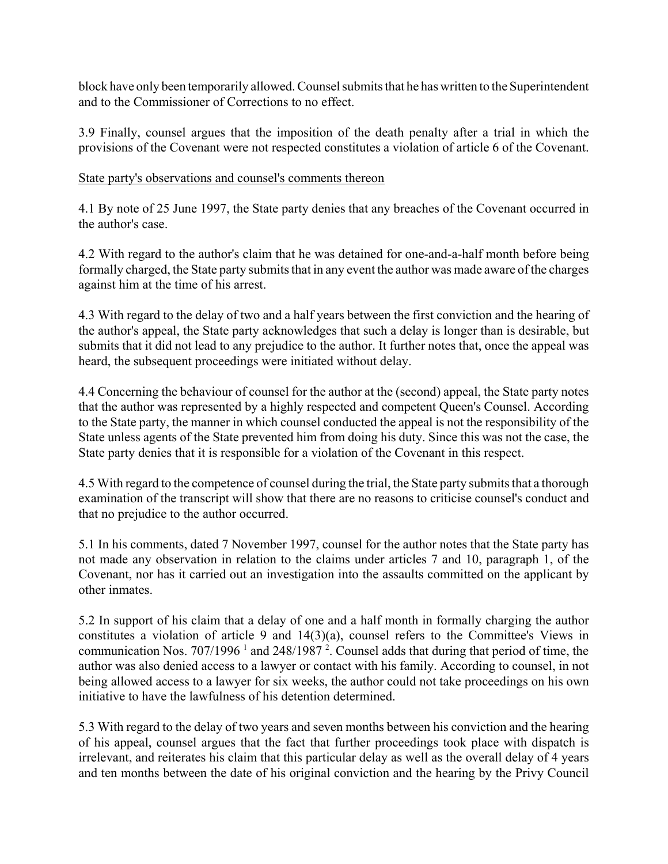block have only been temporarily allowed. Counsel submits that he has written to the Superintendent and to the Commissioner of Corrections to no effect.

3.9 Finally, counsel argues that the imposition of the death penalty after a trial in which the provisions of the Covenant were not respected constitutes a violation of article 6 of the Covenant.

# State party's observations and counsel's comments thereon

4.1 By note of 25 June 1997, the State party denies that any breaches of the Covenant occurred in the author's case.

4.2 With regard to the author's claim that he was detained for one-and-a-half month before being formally charged, the State party submits that in any event the author was made aware of the charges against him at the time of his arrest.

4.3 With regard to the delay of two and a half years between the first conviction and the hearing of the author's appeal, the State party acknowledges that such a delay is longer than is desirable, but submits that it did not lead to any prejudice to the author. It further notes that, once the appeal was heard, the subsequent proceedings were initiated without delay.

4.4 Concerning the behaviour of counsel for the author at the (second) appeal, the State party notes that the author was represented by a highly respected and competent Queen's Counsel. According to the State party, the manner in which counsel conducted the appeal is not the responsibility of the State unless agents of the State prevented him from doing his duty. Since this was not the case, the State party denies that it is responsible for a violation of the Covenant in this respect.

4.5 With regard to the competence of counsel during the trial, the State party submits that a thorough examination of the transcript will show that there are no reasons to criticise counsel's conduct and that no prejudice to the author occurred.

5.1 In his comments, dated 7 November 1997, counsel for the author notes that the State party has not made any observation in relation to the claims under articles 7 and 10, paragraph 1, of the Covenant, nor has it carried out an investigation into the assaults committed on the applicant by other inmates.

5.2 In support of his claim that a delay of one and a half month in formally charging the author constitutes a violation of article 9 and 14(3)(a), counsel refers to the Committee's Views in communication Nos. 707/1996<sup>1</sup> and 248/1987<sup>2</sup>. Counsel adds that during that period of time, the author was also denied access to a lawyer or contact with his family. According to counsel, in not being allowed access to a lawyer for six weeks, the author could not take proceedings on his own initiative to have the lawfulness of his detention determined.

5.3 With regard to the delay of two years and seven months between his conviction and the hearing of his appeal, counsel argues that the fact that further proceedings took place with dispatch is irrelevant, and reiterates his claim that this particular delay as well as the overall delay of 4 years and ten months between the date of his original conviction and the hearing by the Privy Council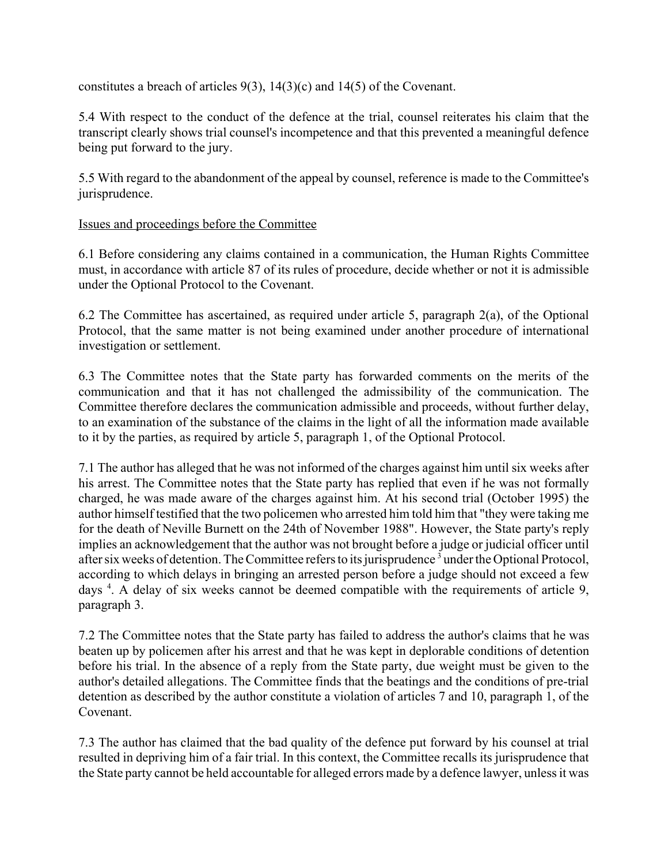constitutes a breach of articles 9(3), 14(3)(c) and 14(5) of the Covenant.

5.4 With respect to the conduct of the defence at the trial, counsel reiterates his claim that the transcript clearly shows trial counsel's incompetence and that this prevented a meaningful defence being put forward to the jury.

5.5 With regard to the abandonment of the appeal by counsel, reference is made to the Committee's jurisprudence.

# Issues and proceedings before the Committee

6.1 Before considering any claims contained in a communication, the Human Rights Committee must, in accordance with article 87 of its rules of procedure, decide whether or not it is admissible under the Optional Protocol to the Covenant.

6.2 The Committee has ascertained, as required under article 5, paragraph 2(a), of the Optional Protocol, that the same matter is not being examined under another procedure of international investigation or settlement.

6.3 The Committee notes that the State party has forwarded comments on the merits of the communication and that it has not challenged the admissibility of the communication. The Committee therefore declares the communication admissible and proceeds, without further delay, to an examination of the substance of the claims in the light of all the information made available to it by the parties, as required by article 5, paragraph 1, of the Optional Protocol.

7.1 The author has alleged that he was not informed of the charges against him until six weeks after his arrest. The Committee notes that the State party has replied that even if he was not formally charged, he was made aware of the charges against him. At his second trial (October 1995) the author himself testified that the two policemen who arrested him told him that "they were taking me for the death of Neville Burnett on the 24th of November 1988". However, the State party's reply implies an acknowledgement that the author was not brought before a judge or judicial officer until after six weeks of detention. The Committee refers to its jurisprudence<sup>3</sup> under the Optional Protocol, according to which delays in bringing an arrested person before a judge should not exceed a few days<sup>4</sup>. A delay of six weeks cannot be deemed compatible with the requirements of article 9, paragraph 3.

7.2 The Committee notes that the State party has failed to address the author's claims that he was beaten up by policemen after his arrest and that he was kept in deplorable conditions of detention before his trial. In the absence of a reply from the State party, due weight must be given to the author's detailed allegations. The Committee finds that the beatings and the conditions of pre-trial detention as described by the author constitute a violation of articles 7 and 10, paragraph 1, of the Covenant.

7.3 The author has claimed that the bad quality of the defence put forward by his counsel at trial resulted in depriving him of a fair trial. In this context, the Committee recalls its jurisprudence that the State party cannot be held accountable for alleged errors made by a defence lawyer, unless it was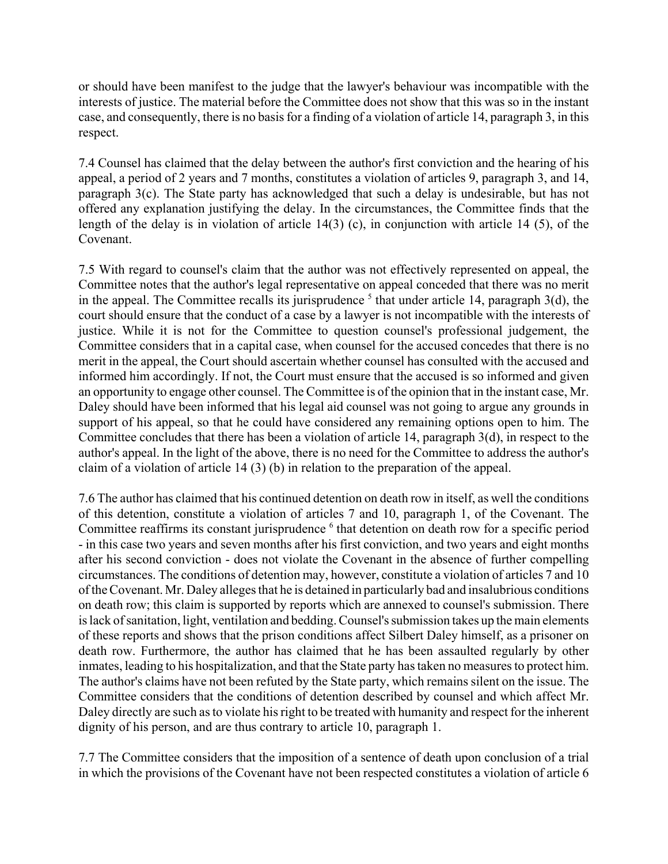or should have been manifest to the judge that the lawyer's behaviour was incompatible with the interests of justice. The material before the Committee does not show that this was so in the instant case, and consequently, there is no basis for a finding of a violation of article 14, paragraph 3, in this respect.

7.4 Counsel has claimed that the delay between the author's first conviction and the hearing of his appeal, a period of 2 years and 7 months, constitutes a violation of articles 9, paragraph 3, and 14, paragraph 3(c). The State party has acknowledged that such a delay is undesirable, but has not offered any explanation justifying the delay. In the circumstances, the Committee finds that the length of the delay is in violation of article 14(3) (c), in conjunction with article 14 (5), of the Covenant.

7.5 With regard to counsel's claim that the author was not effectively represented on appeal, the Committee notes that the author's legal representative on appeal conceded that there was no merit in the appeal. The Committee recalls its jurisprudence  $<sup>5</sup>$  that under article 14, paragraph 3(d), the</sup> court should ensure that the conduct of a case by a lawyer is not incompatible with the interests of justice. While it is not for the Committee to question counsel's professional judgement, the Committee considers that in a capital case, when counsel for the accused concedes that there is no merit in the appeal, the Court should ascertain whether counsel has consulted with the accused and informed him accordingly. If not, the Court must ensure that the accused is so informed and given an opportunity to engage other counsel. The Committee is of the opinion that in the instant case, Mr. Daley should have been informed that his legal aid counsel was not going to argue any grounds in support of his appeal, so that he could have considered any remaining options open to him. The Committee concludes that there has been a violation of article 14, paragraph 3(d), in respect to the author's appeal. In the light of the above, there is no need for the Committee to address the author's claim of a violation of article 14 (3) (b) in relation to the preparation of the appeal.

7.6 The author has claimed that his continued detention on death row in itself, as well the conditions of this detention, constitute a violation of articles 7 and 10, paragraph 1, of the Covenant. The Committee reaffirms its constant jurisprudence <sup>6</sup> that detention on death row for a specific period - in this case two years and seven months after his first conviction, and two years and eight months after his second conviction - does not violate the Covenant in the absence of further compelling circumstances. The conditions of detention may, however, constitute a violation of articles 7 and 10 of the Covenant. Mr. Daley alleges that he is detained in particularly bad and insalubrious conditions on death row; this claim is supported by reports which are annexed to counsel's submission. There is lack of sanitation, light, ventilation and bedding. Counsel's submission takes up the main elements of these reports and shows that the prison conditions affect Silbert Daley himself, as a prisoner on death row. Furthermore, the author has claimed that he has been assaulted regularly by other inmates, leading to his hospitalization, and that the State party has taken no measures to protect him. The author's claims have not been refuted by the State party, which remains silent on the issue. The Committee considers that the conditions of detention described by counsel and which affect Mr. Daley directly are such as to violate his right to be treated with humanity and respect for the inherent dignity of his person, and are thus contrary to article 10, paragraph 1.

7.7 The Committee considers that the imposition of a sentence of death upon conclusion of a trial in which the provisions of the Covenant have not been respected constitutes a violation of article 6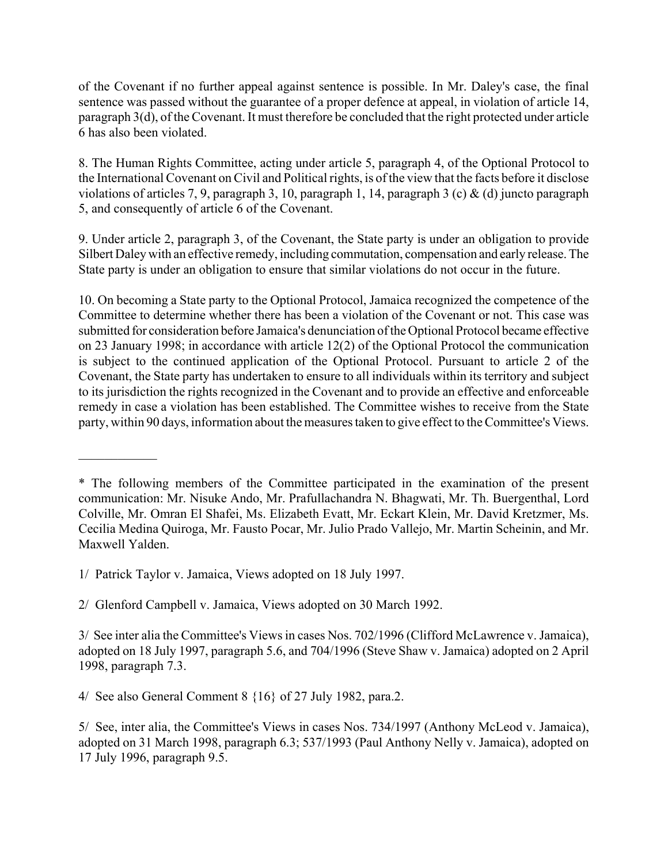of the Covenant if no further appeal against sentence is possible. In Mr. Daley's case, the final sentence was passed without the guarantee of a proper defence at appeal, in violation of article 14, paragraph 3(d), of the Covenant. It must therefore be concluded that the right protected under article 6 has also been violated.

8. The Human Rights Committee, acting under article 5, paragraph 4, of the Optional Protocol to the International Covenant on Civil and Political rights, is of the view that the facts before it disclose violations of articles 7, 9, paragraph 3, 10, paragraph 1, 14, paragraph 3 (c)  $\&$  (d) juncto paragraph 5, and consequently of article 6 of the Covenant.

9. Under article 2, paragraph 3, of the Covenant, the State party is under an obligation to provide Silbert Daley with an effective remedy, including commutation, compensation and early release. The State party is under an obligation to ensure that similar violations do not occur in the future.

10. On becoming a State party to the Optional Protocol, Jamaica recognized the competence of the Committee to determine whether there has been a violation of the Covenant or not. This case was submitted for consideration before Jamaica's denunciation of the Optional Protocol became effective on 23 January 1998; in accordance with article 12(2) of the Optional Protocol the communication is subject to the continued application of the Optional Protocol. Pursuant to article 2 of the Covenant, the State party has undertaken to ensure to all individuals within its territory and subject to its jurisdiction the rights recognized in the Covenant and to provide an effective and enforceable remedy in case a violation has been established. The Committee wishes to receive from the State party, within 90 days, information about the measures taken to give effect to the Committee's Views.

1/ Patrick Taylor v. Jamaica, Views adopted on 18 July 1997.

 $\frac{1}{2}$ 

2/ Glenford Campbell v. Jamaica, Views adopted on 30 March 1992.

4/ See also General Comment 8 {16} of 27 July 1982, para.2.

<sup>\*</sup> The following members of the Committee participated in the examination of the present communication: Mr. Nisuke Ando, Mr. Prafullachandra N. Bhagwati, Mr. Th. Buergenthal, Lord Colville, Mr. Omran El Shafei, Ms. Elizabeth Evatt, Mr. Eckart Klein, Mr. David Kretzmer, Ms. Cecilia Medina Quiroga, Mr. Fausto Pocar, Mr. Julio Prado Vallejo, Mr. Martin Scheinin, and Mr. Maxwell Yalden.

<sup>3/</sup> See inter alia the Committee's Views in cases Nos. 702/1996 (Clifford McLawrence v. Jamaica), adopted on 18 July 1997, paragraph 5.6, and 704/1996 (Steve Shaw v. Jamaica) adopted on 2 April 1998, paragraph 7.3.

<sup>5/</sup> See, inter alia, the Committee's Views in cases Nos. 734/1997 (Anthony McLeod v. Jamaica), adopted on 31 March 1998, paragraph 6.3; 537/1993 (Paul Anthony Nelly v. Jamaica), adopted on 17 July 1996, paragraph 9.5.